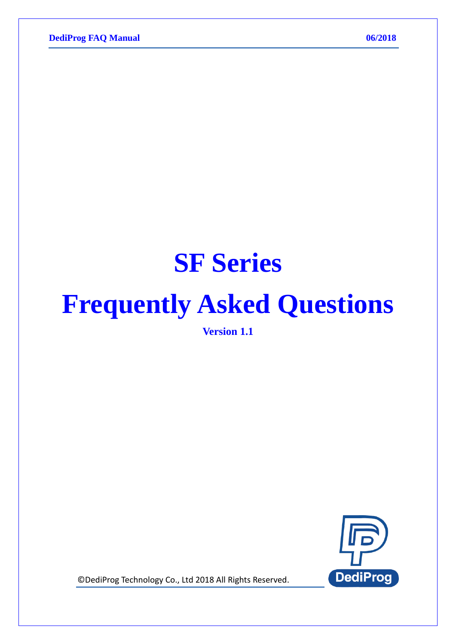# **SF Series**

# **Frequently Asked Questions**

**Version 1.1**



© DediProg Technology Co., Ltd 2018 All Rights Reserved.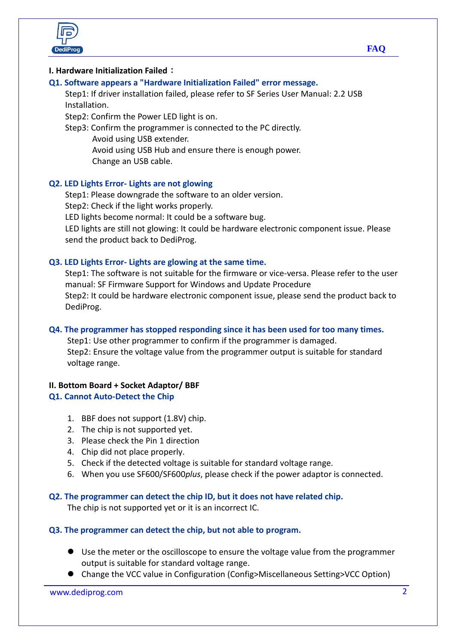

#### **I. Hardware Initialization Failed**:

#### **Q1. Software appears a "Hardware Initialization Failed" error message.**

Step1: If driver installation failed, please refer to SF Series User Manual: 2.2 USB Installation.

Step2: Confirm the Power LED light is on.

Step3: Confirm the programmer is connected to the PC directly. Avoid using USB extender. Avoid using USB Hub and ensure there is enough power.

Change an USB cable.

#### **Q2. LED Lights Error- Lights are not glowing**

Step1: Please downgrade the software to an older version. Step2: Check if the light works properly. LED lights become normal: It could be a software bug. LED lights are still not glowing: It could be hardware electronic component issue. Please

send the product back to DediProg.

#### **Q3. LED Lights Error- Lights are glowing at the same time.**

Step1: The software is not suitable for the firmware or vice-versa. Please refer to the user manual: SF Firmware Support for Windows and Update Procedure Step2: It could be hardware electronic component issue, please send the product back to DediProg.

#### **Q4. The programmer has stopped responding since it has been used for too many times.**

Step1: Use other programmer to confirm if the programmer is damaged. Step2: Ensure the voltage value from the programmer output is suitable for standard voltage range.

#### **II. Bottom Board + Socket Adaptor/ BBF**

#### **Q1. Cannot Auto-Detect the Chip**

- 1. BBF does not support (1.8V) chip.
- 2. The chip is not supported yet.
- 3. Please check the Pin 1 direction
- 4. Chip did not place properly.
- 5. Check if the detected voltage is suitable for standard voltage range.
- 6. When you use SF600/SF600*plus*, please check if the power adaptor is connected.

#### **Q2. The programmer can detect the chip ID, but it does not have related chip.**

The chip is not supported yet or it is an incorrect IC.

#### **Q3. The programmer can detect the chip, but not able to program.**

- Use the meter or the oscilloscope to ensure the voltage value from the programmer output is suitable for standard voltage range.
- Change the VCC value in Configuration (Config>Miscellaneous Setting>VCC Option)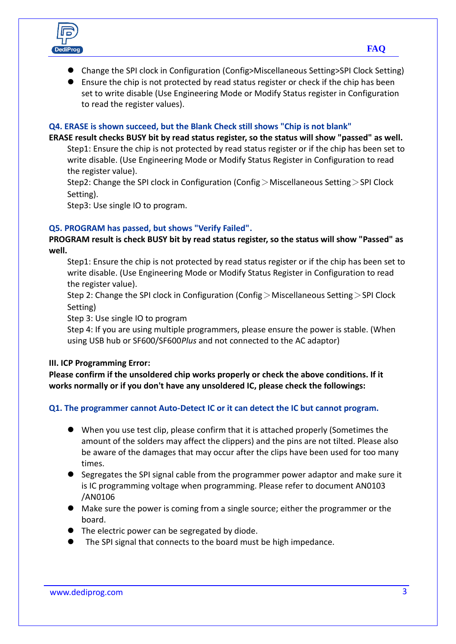

- Change the SPI clock in Configuration (Config>Miscellaneous Setting>SPI Clock Setting)
- Ensure the chip is not protected by read status register or check if the chip has been set to write disable (Use Engineering Mode or Modify Status register in Configuration to read the register values).

### **Q4. ERASE is shown succeed, but the Blank Check still shows "Chip is not blank"**

**ERASE result checks BUSY bit by read status register, so the status will show "passed" as well.** Step1: Ensure the chip is not protected by read status register or if the chip has been set to write disable. (Use Engineering Mode or Modify Status Register in Configuration to read the register value).

Step2: Change the SPI clock in Configuration (Config  $>$  Miscellaneous Setting  $>$  SPI Clock Setting).

Step3: Use single IO to program.

## **Q5. PROGRAM has passed, but shows "Verify Failed".**

**PROGRAM result is check BUSY bit by read status register, so the status will show "Passed" as well.**

Step1: Ensure the chip is not protected by read status register or if the chip has been set to write disable. (Use Engineering Mode or Modify Status Register in Configuration to read the register value).

Step 2: Change the SPI clock in Configuration (Config > Miscellaneous Setting > SPI Clock Setting)

Step 3: Use single IO to program

Step 4: If you are using multiple programmers, please ensure the power is stable. (When using USB hub or SF600/SF600*Plus* and not connected to the AC adaptor)

#### **III. ICP Programming Error:**

**Please confirm if the unsoldered chip works properly or check the above conditions. If it works normally or if you don't have any unsoldered IC, please check the followings:** 

## **Q1. The programmer cannot Auto-Detect IC or it can detect the IC but cannot program.**

- When you use test clip, please confirm that it is attached properly (Sometimes the amount of the solders may affect the clippers) and the pins are not tilted. Please also be aware of the damages that may occur after the clips have been used for too many times.
- Segregates the SPI signal cable from the programmer power adaptor and make sure it is IC programming voltage when programming. Please refer to document AN0103 /AN0106
- Make sure the power is coming from a single source; either the programmer or the board.
- The electric power can be segregated by diode.
- The SPI signal that connects to the board must be high impedance.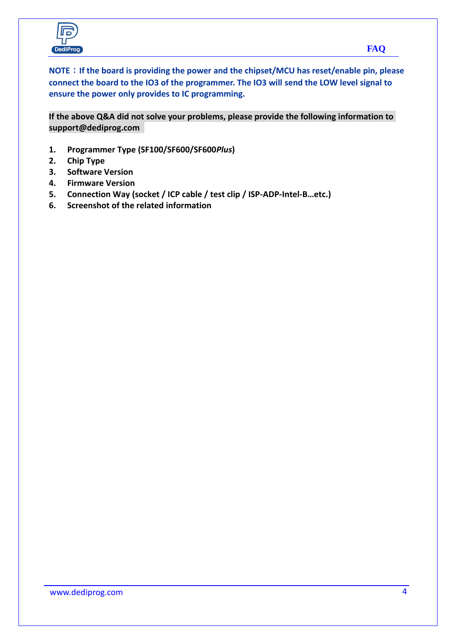

**NOTE**:**If the board is providing the power and the chipset/MCU has reset/enable pin, please connect the board to the IO3 of the programmer. The IO3 will send the LOW level signal to ensure the power only provides to IC programming.**

**If the above Q&A did not solve your problems, please provide the following information to support@dediprog.com** 

- **1. Programmer Type (SF100/SF600/SF600***Plus***)**
- **2. Chip Type**
- **3. Software Version**
- **4. Firmware Version**
- **5. Connection Way (socket / ICP cable / test clip / ISP-ADP-Intel-B…etc.)**
- **6. Screenshot of the related information**